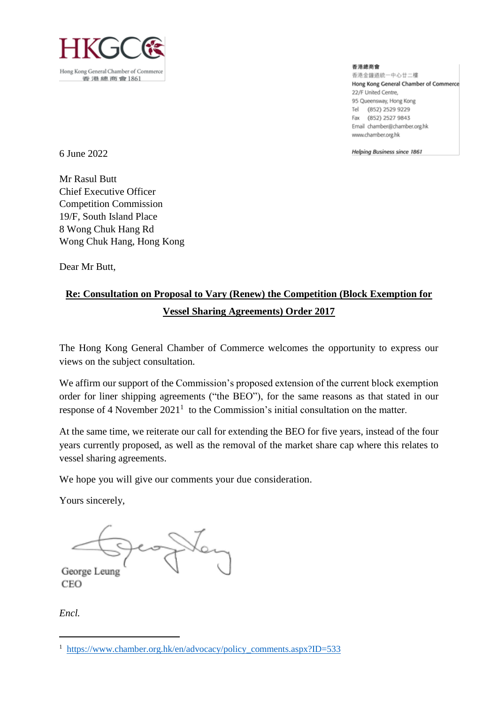

香港總商會 香港金鐘道統一中心廿二樓 Hong Kong General Chamber of Commerce 22/F United Centre. 95 Queensway, Hong Kong Tel (852) 2529 9229 Fax (852) 2527 9843 Email chamber@chamber.org.hk www.chamber.org.hk

Helping Business since 1861

6 June 2022

Mr Rasul Butt Chief Executive Officer Competition Commission 19/F, South Island Place 8 Wong Chuk Hang Rd Wong Chuk Hang, Hong Kong

Dear Mr Butt,

# **Re: Consultation on Proposal to Vary (Renew) the Competition (Block Exemption for Vessel Sharing Agreements) Order 2017**

The Hong Kong General Chamber of Commerce welcomes the opportunity to express our views on the subject consultation.

We affirm our support of the Commission's proposed extension of the current block exemption order for liner shipping agreements ("the BEO"), for the same reasons as that stated in our response of 4 November  $2021<sup>1</sup>$  to the Commission's initial consultation on the matter.

At the same time, we reiterate our call for extending the BEO for five years, instead of the four years currently proposed, as well as the removal of the market share cap where this relates to vessel sharing agreements.

We hope you will give our comments your due consideration.

Yours sincerely,

George Leung CEO

*Encl.*

 $\overline{\phantom{a}}$ 

<sup>&</sup>lt;sup>1</sup> [https://www.chamber.org.hk/en/advocacy/policy\\_comments.aspx?ID=533](https://www.chamber.org.hk/en/advocacy/policy_comments.aspx?ID=533)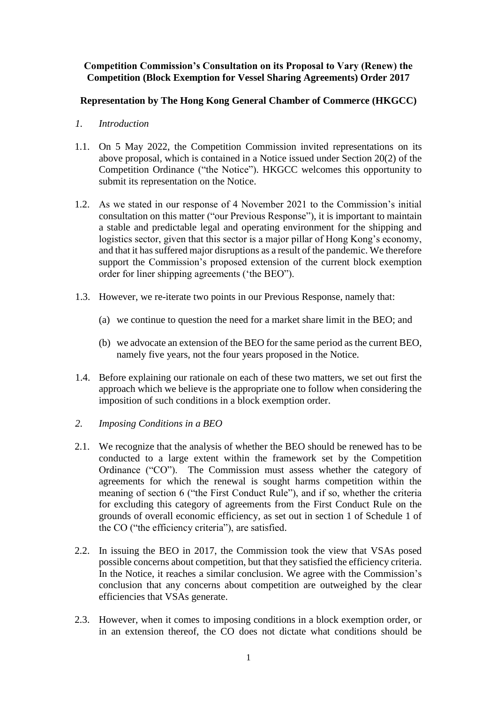### **Competition Commission's Consultation on its Proposal to Vary (Renew) the Competition (Block Exemption for Vessel Sharing Agreements) Order 2017**

## **Representation by The Hong Kong General Chamber of Commerce (HKGCC)**

- *1. Introduction*
- 1.1. On 5 May 2022, the Competition Commission invited representations on its above proposal, which is contained in a Notice issued under Section 20(2) of the Competition Ordinance ("the Notice"). HKGCC welcomes this opportunity to submit its representation on the Notice.
- 1.2. As we stated in our response of 4 November 2021 to the Commission's initial consultation on this matter ("our Previous Response"), it is important to maintain a stable and predictable legal and operating environment for the shipping and logistics sector, given that this sector is a major pillar of Hong Kong's economy, and that it has suffered major disruptions as a result of the pandemic. We therefore support the Commission's proposed extension of the current block exemption order for liner shipping agreements ('the BEO").
- 1.3. However, we re-iterate two points in our Previous Response, namely that:
	- (a) we continue to question the need for a market share limit in the BEO; and
	- (b) we advocate an extension of the BEO for the same period as the current BEO, namely five years, not the four years proposed in the Notice.
- 1.4. Before explaining our rationale on each of these two matters, we set out first the approach which we believe is the appropriate one to follow when considering the imposition of such conditions in a block exemption order.
- *2. Imposing Conditions in a BEO*
- 2.1. We recognize that the analysis of whether the BEO should be renewed has to be conducted to a large extent within the framework set by the Competition Ordinance ("CO"). The Commission must assess whether the category of agreements for which the renewal is sought harms competition within the meaning of section 6 ("the First Conduct Rule"), and if so, whether the criteria for excluding this category of agreements from the First Conduct Rule on the grounds of overall economic efficiency, as set out in section 1 of Schedule 1 of the CO ("the efficiency criteria"), are satisfied.
- 2.2. In issuing the BEO in 2017, the Commission took the view that VSAs posed possible concerns about competition, but that they satisfied the efficiency criteria. In the Notice, it reaches a similar conclusion. We agree with the Commission's conclusion that any concerns about competition are outweighed by the clear efficiencies that VSAs generate.
- 2.3. However, when it comes to imposing conditions in a block exemption order, or in an extension thereof, the CO does not dictate what conditions should be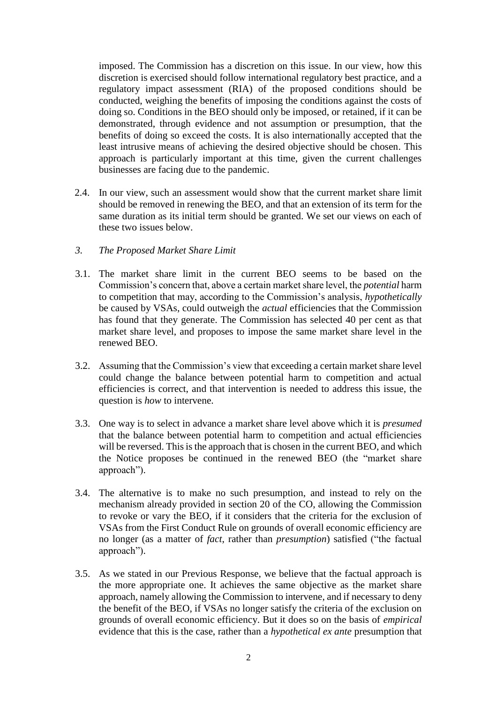imposed. The Commission has a discretion on this issue. In our view, how this discretion is exercised should follow international regulatory best practice, and a regulatory impact assessment (RIA) of the proposed conditions should be conducted, weighing the benefits of imposing the conditions against the costs of doing so. Conditions in the BEO should only be imposed, or retained, if it can be demonstrated, through evidence and not assumption or presumption, that the benefits of doing so exceed the costs. It is also internationally accepted that the least intrusive means of achieving the desired objective should be chosen. This approach is particularly important at this time, given the current challenges businesses are facing due to the pandemic.

- 2.4. In our view, such an assessment would show that the current market share limit should be removed in renewing the BEO, and that an extension of its term for the same duration as its initial term should be granted. We set our views on each of these two issues below.
- *3. The Proposed Market Share Limit*
- 3.1. The market share limit in the current BEO seems to be based on the Commission's concern that, above a certain market share level, the *potential* harm to competition that may, according to the Commission's analysis, *hypothetically* be caused by VSAs, could outweigh the *actual* efficiencies that the Commission has found that they generate. The Commission has selected 40 per cent as that market share level, and proposes to impose the same market share level in the renewed BEO.
- 3.2. Assuming that the Commission's view that exceeding a certain market share level could change the balance between potential harm to competition and actual efficiencies is correct, and that intervention is needed to address this issue, the question is *how* to intervene.
- 3.3. One way is to select in advance a market share level above which it is *presumed* that the balance between potential harm to competition and actual efficiencies will be reversed. This is the approach that is chosen in the current BEO, and which the Notice proposes be continued in the renewed BEO (the "market share approach").
- 3.4. The alternative is to make no such presumption, and instead to rely on the mechanism already provided in section 20 of the CO, allowing the Commission to revoke or vary the BEO, if it considers that the criteria for the exclusion of VSAs from the First Conduct Rule on grounds of overall economic efficiency are no longer (as a matter of *fact*, rather than *presumption*) satisfied ("the factual approach").
- 3.5. As we stated in our Previous Response, we believe that the factual approach is the more appropriate one. It achieves the same objective as the market share approach, namely allowing the Commission to intervene, and if necessary to deny the benefit of the BEO, if VSAs no longer satisfy the criteria of the exclusion on grounds of overall economic efficiency. But it does so on the basis of *empirical* evidence that this is the case, rather than a *hypothetical ex ante* presumption that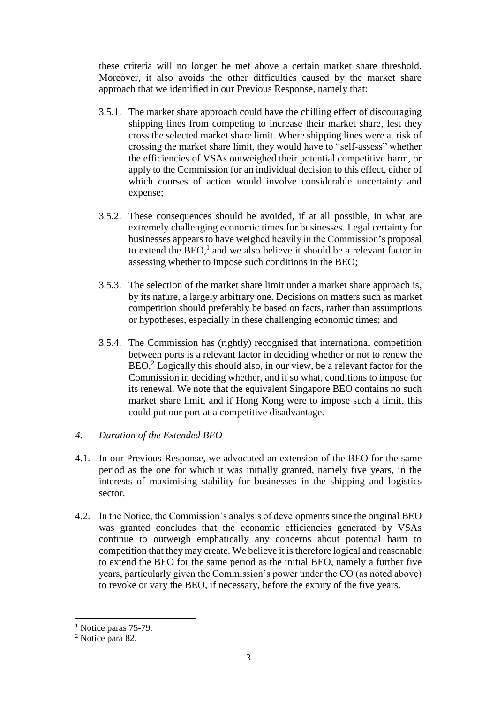these criteria will no longer be met above a certain market share threshold. Moreover, it also avoids the other difficulties caused by the market share approach that we identified in our Previous Response, namely that:

- 3.5.1. The market share approach could have the chilling effect of discouraging shipping lines from competing to increase their market share, lest they cross the selected market share limit. Where shipping lines were at risk of crossing the market share limit, they would have to "self-assess" whether the efficiencies of VSAs outweighed their potential competitive harm, or apply to the Commission for an individual decision to this effect, either of which courses of action would involve considerable uncertainty and expense;
- 3.5.2. These consequences should be avoided, if at all possible, in what are extremely challenging economic times for businesses. Legal certainty for businesses appears to have weighed heavily in the Commission's proposal to extend the  $BEO<sup>1</sup>$  and we also believe it should be a relevant factor in assessing whether to impose such conditions in the BEO;
- 3.5.3. The selection of the market share limit under a market share approach is, by its nature, a largely arbitrary one. Decisions on matters such as market competition should preferably be based on facts, rather than assumptions or hypotheses, especially in these challenging economic times; and
- 3.5.4. The Commission has (rightly) recognised that international competition between ports is a relevant factor in deciding whether or not to renew the BEO. <sup>2</sup> Logically this should also, in our view, be a relevant factor for the Commission in deciding whether, and if so what, conditions to impose for its renewal. We note that the equivalent Singapore BEO contains no such market share limit, and if Hong Kong were to impose such a limit, this could put our port at a competitive disadvantage.

## *4. Duration of the Extended BEO*

- 4.1. In our Previous Response, we advocated an extension of the BEO for the same period as the one for which it was initially granted, namely five years, in the interests of maximising stability for businesses in the shipping and logistics sector.
- 4.2. In the Notice, the Commission's analysis of developments since the original BEO was granted concludes that the economic efficiencies generated by VSAs continue to outweigh emphatically any concerns about potential harm to competition that they may create. We believe it is therefore logical and reasonable to extend the BEO for the same period as the initial BEO, namely a further five years, particularly given the Commission's power under the CO (as noted above) to revoke or vary the BEO, if necessary, before the expiry of the five years.

<sup>&</sup>lt;sup>1</sup> Notice paras 75-79.

<sup>2</sup> Notice para 82.